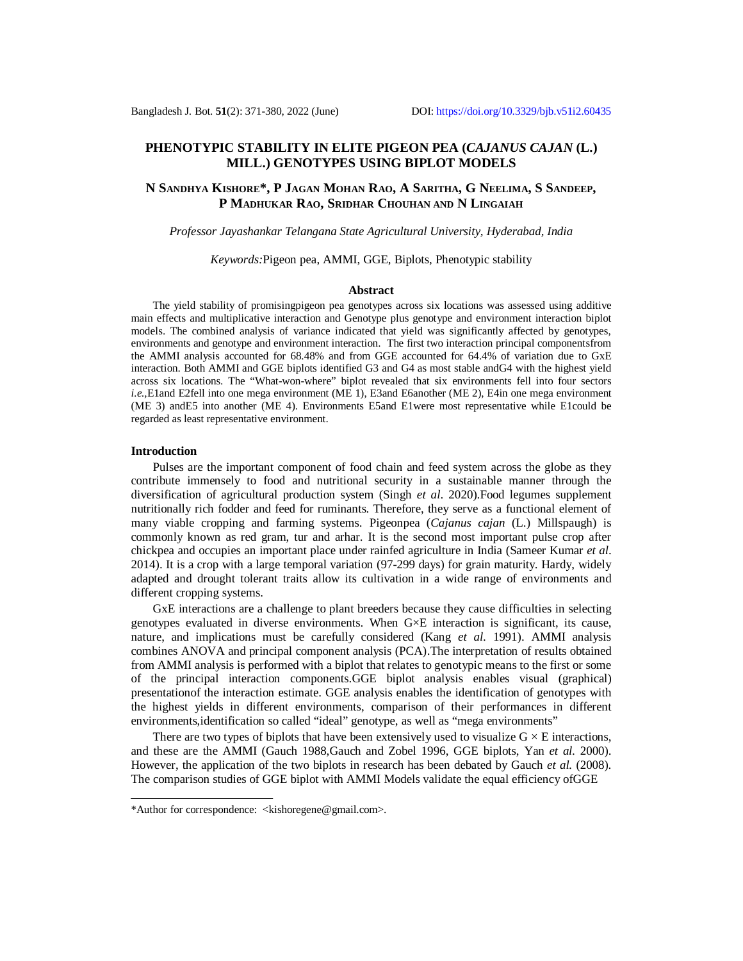# **PHENOTYPIC STABILITY IN ELITE PIGEON PEA (***CAJANUS CAJAN* **(L.) MILL.) GENOTYPES USING BIPLOT MODELS**

## **N SANDHYA KISHORE\*, P JAGAN MOHAN RAO, A SARITHA, G NEELIMA, S SANDEEP, P MADHUKAR RAO, SRIDHAR CHOUHAN AND N LINGAIAH**

### *Professor Jayashankar Telangana State Agricultural University, Hyderabad, India*

## *Keywords:*Pigeon pea, AMMI, GGE, Biplots, Phenotypic stability

#### **Abstract**

The yield stability of promisingpigeon pea genotypes across six locations was assessed using additive main effects and multiplicative interaction and Genotype plus genotype and environment interaction biplot models. The combined analysis of variance indicated that yield was significantly affected by genotypes, environments and genotype and environment interaction. The first two interaction principal componentsfrom the AMMI analysis accounted for 68.48% and from GGE accounted for 64.4% of variation due to GxE interaction. Both AMMI and GGE biplots identified G3 and G4 as most stable andG4 with the highest yield across six locations. The "What-won-where" biplot revealed that six environments fell into four sectors *i.e.,*E1and E2fell into one mega environment (ME 1), E3and E6another (ME 2), E4in one mega environment (ME 3) andE5 into another (ME 4). Environments E5and E1were most representative while E1could be regarded as least representative environment.

#### **Introduction**

Pulses are the important component of food chain and feed system across the globe as they contribute immensely to food and nutritional security in a sustainable manner through the diversification of agricultural production system (Singh *et al*. 2020).Food legumes supplement nutritionally rich fodder and feed for ruminants. Therefore, they serve as a functional element of many viable cropping and farming systems. Pigeonpea (*Cajanus cajan* (L.) Millspaugh) is commonly known as red gram, tur and arhar. It is the second most important pulse crop after chickpea and occupies an important place under rainfed agriculture in India (Sameer Kumar *et al*. 2014). It is a crop with a large temporal variation (97-299 days) for grain maturity. Hardy, widely adapted and drought tolerant traits allow its cultivation in a wide range of environments and different cropping systems.

GxE interactions are a challenge to plant breeders because they cause difficulties in selecting genotypes evaluated in diverse environments. When G×E interaction is significant, its cause, nature, and implications must be carefully considered (Kang *et al*. 1991). AMMI analysis combines ANOVA and principal component analysis (PCA).The interpretation of results obtained from AMMI analysis is performed with a biplot that relates to genotypic means to the first or some of the principal interaction components.GGE biplot analysis enables visual (graphical) presentationof the interaction estimate. GGE analysis enables the identification of genotypes with the highest yields in different environments, comparison of their performances in different environments,identification so called "ideal" genotype, as well as "mega environments"

There are two types of biplots that have been extensively used to visualize  $G \times E$  interactions, and these are the AMMI (Gauch 1988,Gauch and Zobel 1996, GGE biplots, Yan *et al.* 2000). However, the application of the two biplots in research has been debated by Gauch *et al.* (2008). The comparison studies of GGE biplot with AMMI Models validate the equal efficiency ofGGE

<sup>\*</sup>Author for correspondence: <[kishoregene@gmail.com>](mailto:kishoregene@gmail.com).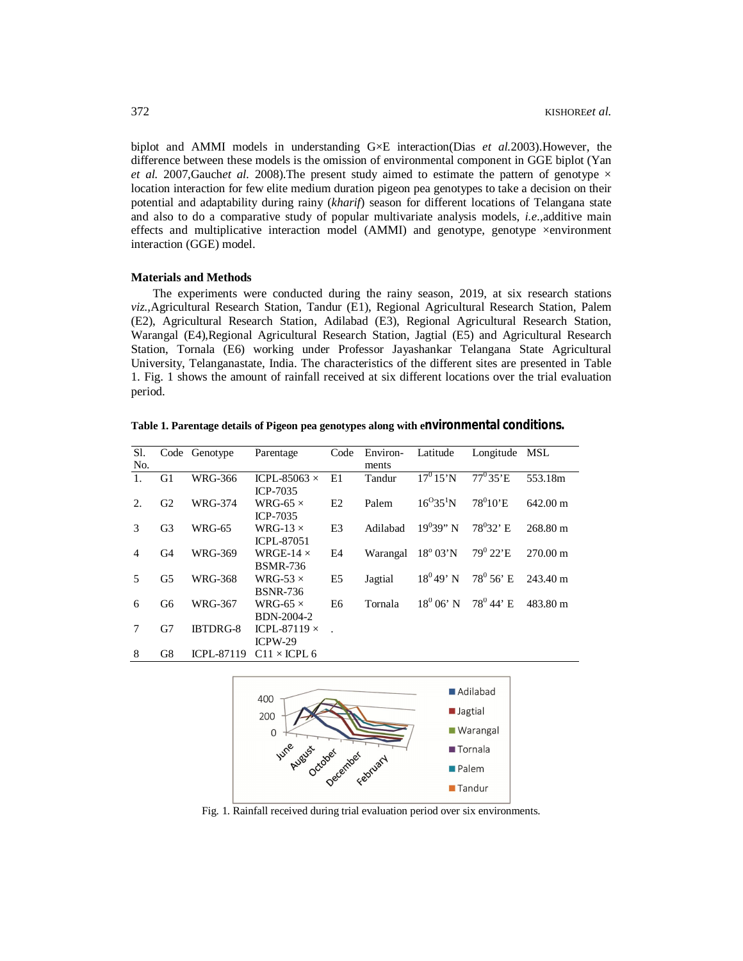biplot and AMMI models in understanding G×E interaction(Dias *et al.*2003).However, the difference between these models is the omission of environmental component in GGE biplot (Yan *et al.* 2007, Gauch*et al.* 2008). The present study aimed to estimate the pattern of genotype  $\times$ location interaction for few elite medium duration pigeon pea genotypes to take a decision on their potential and adaptability during rainy (*kharif*) season for different locations of Telangana state and also to do a comparative study of popular multivariate analysis models, *i.e.,*additive main effects and multiplicative interaction model (AMMI) and genotype, genotype ×environment interaction (GGE) model.

## **Materials and Methods**

The experiments were conducted during the rainy season, 2019, at six research stations *viz.,*Agricultural Research Station, Tandur (E1), Regional Agricultural Research Station, Palem (E2), Agricultural Research Station, Adilabad (E3), Regional Agricultural Research Station, Warangal (E4),Regional Agricultural Research Station, Jagtial (E5) and Agricultural Research Station, Tornala (E6) working under Professor Jayashankar Telangana State Agricultural University, Telanganastate, India. The characteristics of the different sites are presented in Table 1. Fig. 1 shows the amount of rainfall received at six different locations over the trial evaluation period.

Sl. No. Code Genotype Parentage Code Environments Latitude Longitude MSL 1. G1 WRG-366 ICPL-85063 × ICP-7035 E1 Tandur  $17^0 15' N$   $77^0 35' E$  553.18m 2. G2 WRG-374 WRG-65  $\times$ ICP-7035 E2 Palem  $16^{O}35^{1}N$  78<sup>0</sup>10'E  $642.00 \text{ m}$ 3 G3 WRG-65 WRG-13 $\times$ ICPL-87051 E3 Adilabad  $19^039''$  N 78<sup>0</sup>32' E 268.80 m 4 G4 WRG-369 WRGE-14 × BSMR-736 E4 Warangal  $18^{\circ}$  03'N 79<sup>0</sup> 22'E 270.00 m 5 G5 WRG-368 WRG-53 × BSNR-736 E5 Jagtial  $18^0 49' N$  78<sup>0</sup> 56' E 243.40 m 6 G6 WRG-367 WRG-65 $\times$ BDN-2004-2 E6 Tornala  $18^0 06' N$  $78^0$  44' E 483.80 m 7 G7 IBTDRG-8 ICPL-87119  $\times$ ICPW-29 . 8 G8 ICPL-87119 C11 × ICPL 6

**Table 1. Parentage details of Pigeon pea genotypes along with environmental conditions.**



Fig. 1. Rainfall received during trial evaluation period over six environments.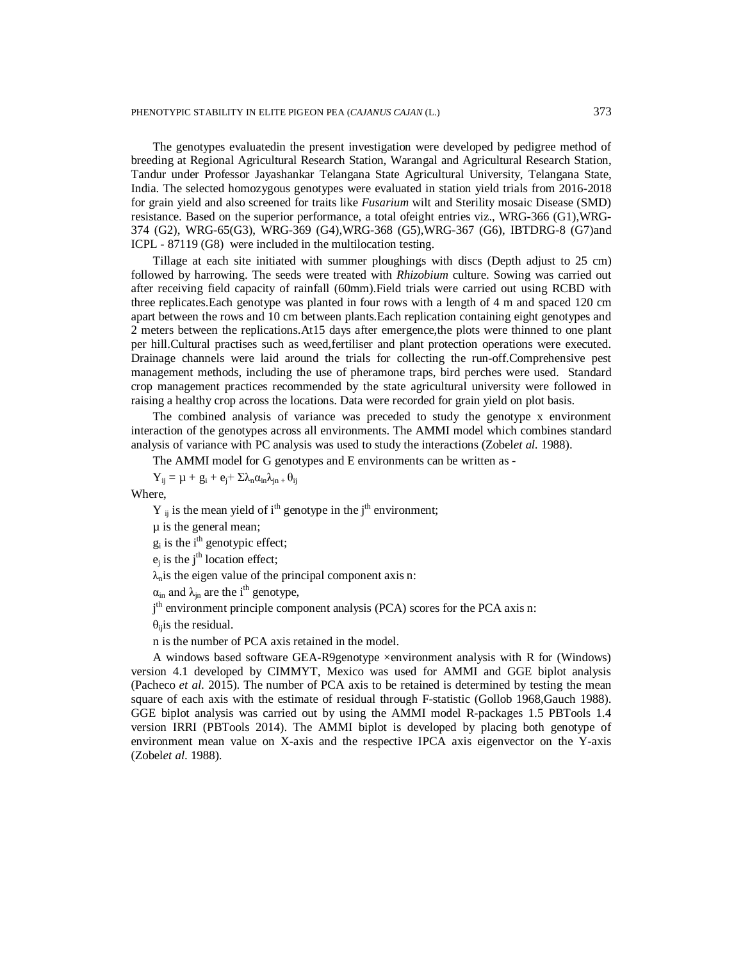The genotypes evaluatedin the present investigation were developed by pedigree method of breeding at Regional Agricultural Research Station, Warangal and Agricultural Research Station, Tandur under Professor Jayashankar Telangana State Agricultural University, Telangana State, India. The selected homozygous genotypes were evaluated in station yield trials from 2016-2018 for grain yield and also screened for traits like *Fusarium* wilt and Sterility mosaic Disease (SMD) resistance. Based on the superior performance, a total ofeight entries viz., WRG-366 (G1),WRG-374 (G2), WRG-65(G3), WRG-369 (G4),WRG-368 (G5),WRG-367 (G6), IBTDRG-8 (G7)and ICPL - 87119 (G8) were included in the multilocation testing.

Tillage at each site initiated with summer ploughings with discs (Depth adjust to 25 cm) followed by harrowing. The seeds were treated with *Rhizobium* culture. Sowing was carried out after receiving field capacity of rainfall (60mm).Field trials were carried out using RCBD with three replicates.Each genotype was planted in four rows with a length of 4 m and spaced 120 cm apart between the rows and 10 cm between plants.Each replication containing eight genotypes and 2 meters between the replications.At15 days after emergence,the plots were thinned to one plant per hill.Cultural practises such as weed,fertiliser and plant protection operations were executed. Drainage channels were laid around the trials for collecting the run-off.Comprehensive pest management methods, including the use of pheramone traps, bird perches were used. Standard crop management practices recommended by the state agricultural university were followed in raising a healthy crop across the locations. Data were recorded for grain yield on plot basis.

The combined analysis of variance was preceded to study the genotype x environment interaction of the genotypes across all environments. The AMMI model which combines standard analysis of variance with PC analysis was used to study the interactions (Zobel*et al.* 1988).

The AMMI model for G genotypes and E environments can be written as -

 $Y_{ij} = \mu + g_i + e_j + \Sigma \lambda_n \alpha_{in} \lambda_{in} + \theta_{ij}$ 

Where,

 $Y_{ii}$  is the mean yield of i<sup>th</sup> genotype in the j<sup>th</sup> environment;

µ is the general mean;

 $g_i$  is the i<sup>th</sup> genotypic effect;

 $e_j$  is the j<sup>th</sup> location effect;

 $\lambda_n$  is the eigen value of the principal component axis n:

 $\alpha_{\rm in}$  and  $\lambda_{\rm in}$  are the i<sup>th</sup> genotype,

j<sup>th</sup> environment principle component analysis (PCA) scores for the PCA axis n:

 $\theta_{\rm ii}$  is the residual.

n is the number of PCA axis retained in the model.

A windows based software GEA-R9genotype ×environment analysis with R for (Windows) version 4.1 developed by CIMMYT, Mexico was used for AMMI and GGE biplot analysis (Pacheco *et al.* 2015). The number of PCA axis to be retained is determined by testing the mean square of each axis with the estimate of residual through F-statistic (Gollob 1968,Gauch 1988). GGE biplot analysis was carried out by using the AMMI model R-packages 1.5 PBTools 1.4 version IRRI (PBTools 2014). The AMMI biplot is developed by placing both genotype of environment mean value on X-axis and the respective IPCA axis eigenvector on the Y-axis (Zobel*et al*. 1988).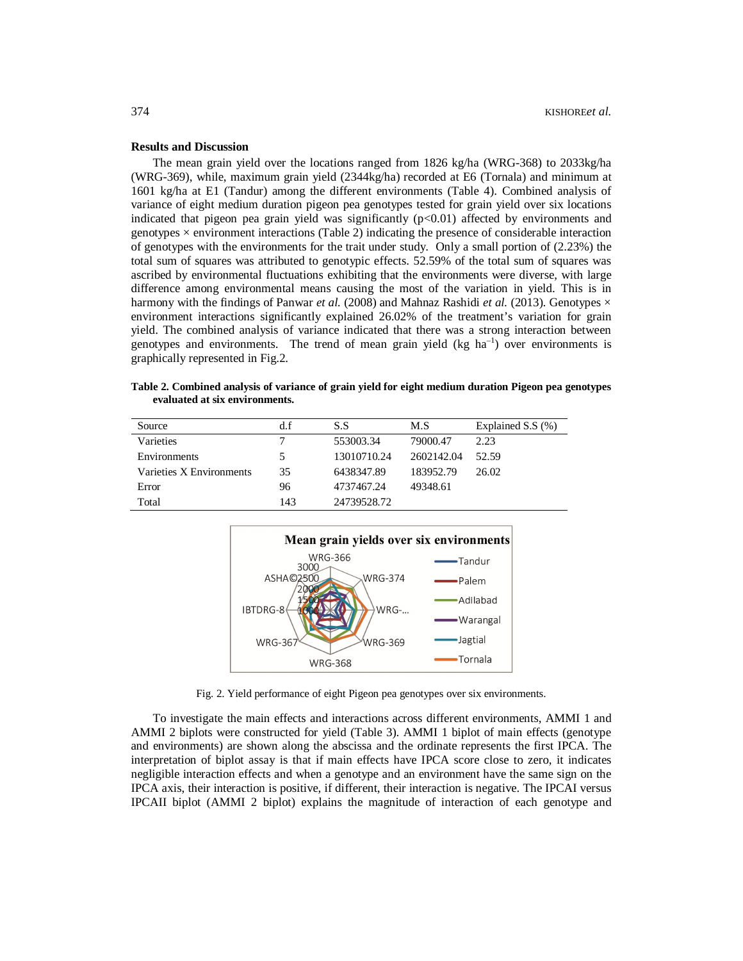## **Results and Discussion**

The mean grain yield over the locations ranged from 1826 kg/ha (WRG-368) to 2033kg/ha (WRG-369), while, maximum grain yield (2344kg/ha) recorded at E6 (Tornala) and minimum at 1601 kg/ha at E1 (Tandur) among the different environments (Table 4). Combined analysis of variance of eight medium duration pigeon pea genotypes tested for grain yield over six locations indicated that pigeon pea grain yield was significantly (p<0.01) affected by environments and genotypes  $\times$  environment interactions (Table 2) indicating the presence of considerable interaction of genotypes with the environments for the trait under study. Only a small portion of (2.23%) the total sum of squares was attributed to genotypic effects. 52.59% of the total sum of squares was ascribed by environmental fluctuations exhibiting that the environments were diverse, with large difference among environmental means causing the most of the variation in yield. This is in harmony with the findings of Panwar *et al.* (2008) and Mahnaz Rashidi *et al.* (2013). Genotypes  $\times$ environment interactions significantly explained 26.02% of the treatment's variation for grain yield. The combined analysis of variance indicated that there was a strong interaction between genotypes and environments. The trend of mean grain yield  $(kg ha<sup>-1</sup>)$  over environments is graphically represented in Fig.2.

**Table 2. Combined analysis of variance of grain yield for eight medium duration Pigeon pea genotypes evaluated at six environments.**

| Source                   | d.f | S.S         | M.S        | Explained S.S $(\%)$ |
|--------------------------|-----|-------------|------------|----------------------|
| Varieties                |     | 553003.34   | 79000.47   | 2.23                 |
| <b>Environments</b>      | 5.  | 13010710.24 | 2602142.04 | 52.59                |
| Varieties X Environments | 35  | 6438347.89  | 183952.79  | 26.02                |
| Error                    | 96  | 4737467.24  | 49348.61   |                      |
| Total                    | 143 | 24739528.72 |            |                      |



Fig. 2. Yield performance of eight Pigeon pea genotypes over six environments.

To investigate the main effects and interactions across different environments, AMMI 1 and AMMI 2 biplots were constructed for yield (Table 3). AMMI 1 biplot of main effects (genotype and environments) are shown along the abscissa and the ordinate represents the first IPCA. The interpretation of biplot assay is that if main effects have IPCA score close to zero, it indicates negligible interaction effects and when a genotype and an environment have the same sign on the IPCA axis, their interaction is positive, if different, their interaction is negative. The IPCAI versus IPCAII biplot (AMMI 2 biplot) explains the magnitude of interaction of each genotype and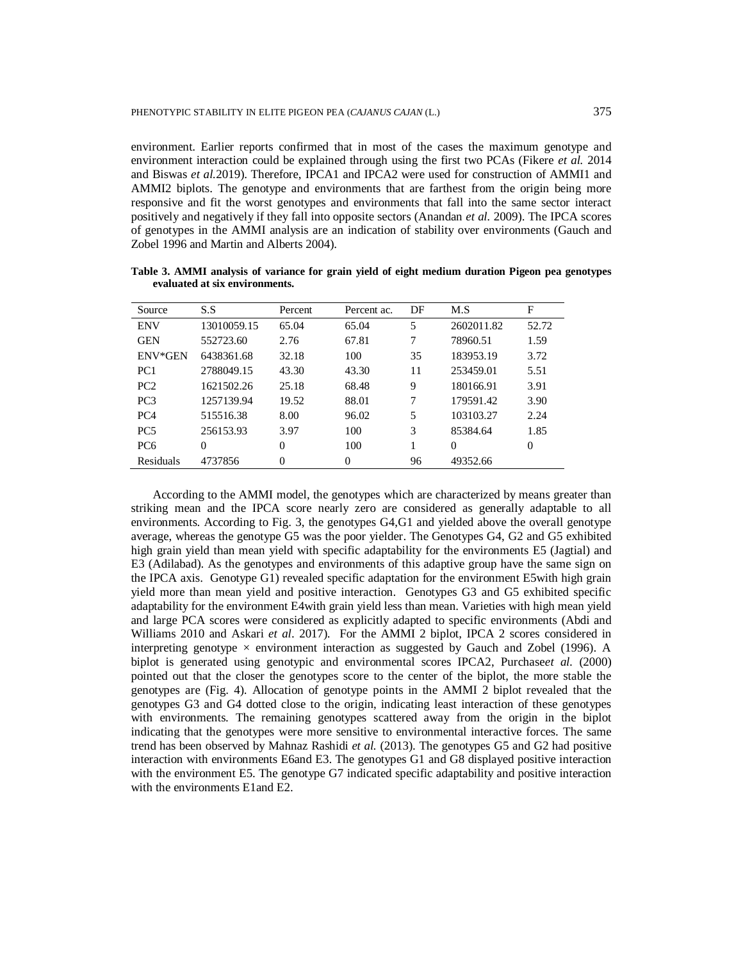environment. Earlier reports confirmed that in most of the cases the maximum genotype and environment interaction could be explained through using the first two PCAs (Fikere *et al.* 2014 and Biswas *et al.*2019). Therefore, IPCA1 and IPCA2 were used for construction of AMMI1 and AMMI2 biplots. The genotype and environments that are farthest from the origin being more responsive and fit the worst genotypes and environments that fall into the same sector interact positively and negatively if they fall into opposite sectors (Anandan *et al.* 2009). The IPCA scores of genotypes in the AMMI analysis are an indication of stability over environments (Gauch and Zobel 1996 and Martin and Alberts 2004).

| Source          | S.S         | Percent  | Percent ac. | DF | M.S        | F        |
|-----------------|-------------|----------|-------------|----|------------|----------|
| <b>ENV</b>      | 13010059.15 | 65.04    | 65.04       | 5  | 2602011.82 | 52.72    |
| <b>GEN</b>      | 552723.60   | 2.76     | 67.81       | 7  | 78960.51   | 1.59     |
| ENV*GEN         | 6438361.68  | 32.18    | 100         | 35 | 183953.19  | 3.72     |
| PC <sub>1</sub> | 2788049.15  | 43.30    | 43.30       | 11 | 253459.01  | 5.51     |
| PC <sub>2</sub> | 1621502.26  | 25.18    | 68.48       | 9  | 180166.91  | 3.91     |
| PC <sub>3</sub> | 1257139.94  | 19.52    | 88.01       | 7  | 179591.42  | 3.90     |
| PC <sub>4</sub> | 515516.38   | 8.00     | 96.02       | 5  | 103103.27  | 2.24     |
| PC <sub>5</sub> | 256153.93   | 3.97     | 100         | 3  | 85384.64   | 1.85     |
| PC <sub>6</sub> | $\Omega$    | $\theta$ | 100         |    | $\Omega$   | $\Omega$ |
| Residuals       | 4737856     | $\theta$ | $\theta$    | 96 | 49352.66   |          |

**Table 3. AMMI analysis of variance for grain yield of eight medium duration Pigeon pea genotypes evaluated at six environments.**

According to the AMMI model, the genotypes which are characterized by means greater than striking mean and the IPCA score nearly zero are considered as generally adaptable to all environments. According to Fig. 3, the genotypes G4,G1 and yielded above the overall genotype average, whereas the genotype G5 was the poor yielder. The Genotypes G4, G2 and G5 exhibited high grain yield than mean yield with specific adaptability for the environments E5 (Jagtial) and E3 (Adilabad). As the genotypes and environments of this adaptive group have the same sign on the IPCA axis. Genotype G1) revealed specific adaptation for the environment E5with high grain yield more than mean yield and positive interaction. Genotypes G3 and G5 exhibited specific adaptability for the environment E4with grain yield less than mean. Varieties with high mean yield and large PCA scores were considered as explicitly adapted to specific environments (Abdi and Williams 2010 and Askari *et al*. 2017). For the AMMI 2 biplot, IPCA 2 scores considered in interpreting genotype  $\times$  environment interaction as suggested by Gauch and Zobel (1996). A biplot is generated using genotypic and environmental scores IPCA2, Purchase*et al.* (2000) pointed out that the closer the genotypes score to the center of the biplot, the more stable the genotypes are (Fig. 4). Allocation of genotype points in the AMMI 2 biplot revealed that the genotypes G3 and G4 dotted close to the origin, indicating least interaction of these genotypes with environments. The remaining genotypes scattered away from the origin in the biplot indicating that the genotypes were more sensitive to environmental interactive forces. The same trend has been observed by Mahnaz Rashidi *et al.* (2013). The genotypes G5 and G2 had positive interaction with environments E6and E3. The genotypes G1 and G8 displayed positive interaction with the environment E5. The genotype G7 indicated specific adaptability and positive interaction with the environments E1and E2.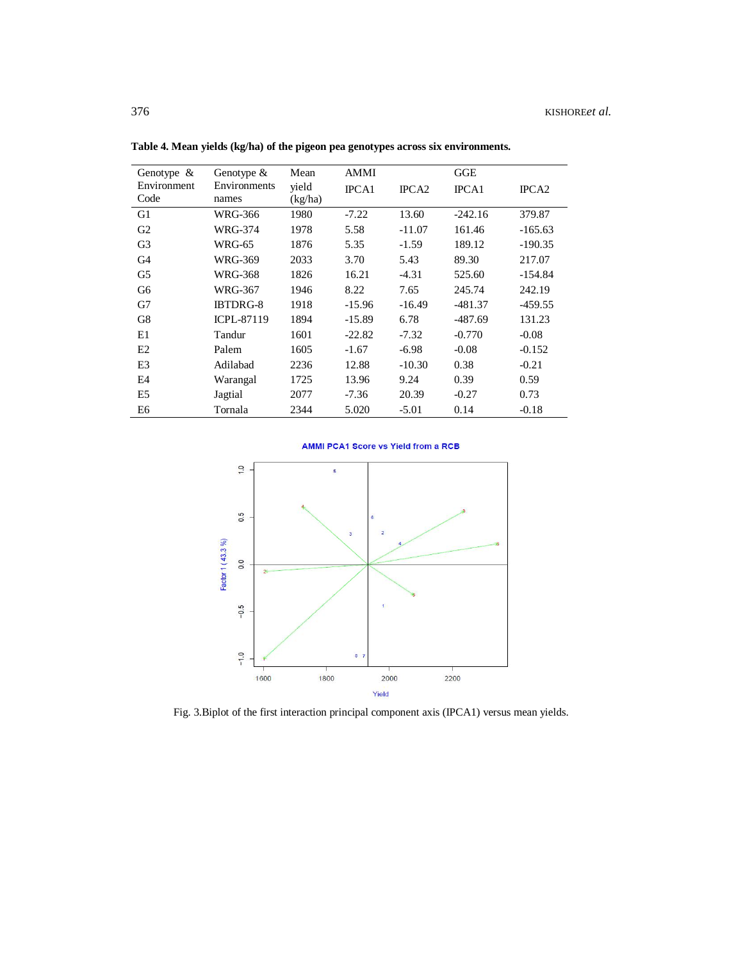| Genotype $\&$       | Genotype $&$          | Mean             | <b>AMMI</b>  |                   | <b>GGE</b>   |                   |
|---------------------|-----------------------|------------------|--------------|-------------------|--------------|-------------------|
| Environment<br>Code | Environments<br>names | yield<br>(kg/ha) | <b>IPCA1</b> | IPCA <sub>2</sub> | <b>IPCA1</b> | IPCA <sub>2</sub> |
| G1                  | WRG-366               | 1980             | $-7.22$      | 13.60             | $-242.16$    | 379.87            |
| G <sub>2</sub>      | WRG-374               | 1978             | 5.58         | $-11.07$          | 161.46       | $-165.63$         |
| G <sub>3</sub>      | <b>WRG-65</b>         | 1876             | 5.35         | $-1.59$           | 189.12       | $-190.35$         |
| G4                  | WRG-369               | 2033             | 3.70         | 5.43              | 89.30        | 217.07            |
| G <sub>5</sub>      | WRG-368               | 1826             | 16.21        | $-4.31$           | 525.60       | $-154.84$         |
| G <sub>6</sub>      | WRG-367               | 1946             | 8.22         | 7.65              | 245.74       | 242.19            |
| G7                  | <b>IBTDRG-8</b>       | 1918             | $-15.96$     | $-16.49$          | $-481.37$    | $-459.55$         |
| G8                  | <b>ICPL-87119</b>     | 1894             | $-15.89$     | 6.78              | $-487.69$    | 131.23            |
| E1                  | Tandur                | 1601             | $-22.82$     | $-7.32$           | $-0.770$     | $-0.08$           |
| E2                  | Palem                 | 1605             | $-1.67$      | $-6.98$           | $-0.08$      | $-0.152$          |
| E <sub>3</sub>      | Adilabad              | 2236             | 12.88        | $-10.30$          | 0.38         | $-0.21$           |
| E4                  | Warangal              | 1725             | 13.96        | 9.24              | 0.39         | 0.59              |
| E5                  | Jagtial               | 2077             | $-7.36$      | 20.39             | $-0.27$      | 0.73              |
| E6                  | Tornala               | 2344             | 5.020        | $-5.01$           | 0.14         | $-0.18$           |

**Table 4. Mean yields (kg/ha) of the pigeon pea genotypes across six environments.**





Fig. 3.Biplot of the first interaction principal component axis (IPCA1) versus mean yields.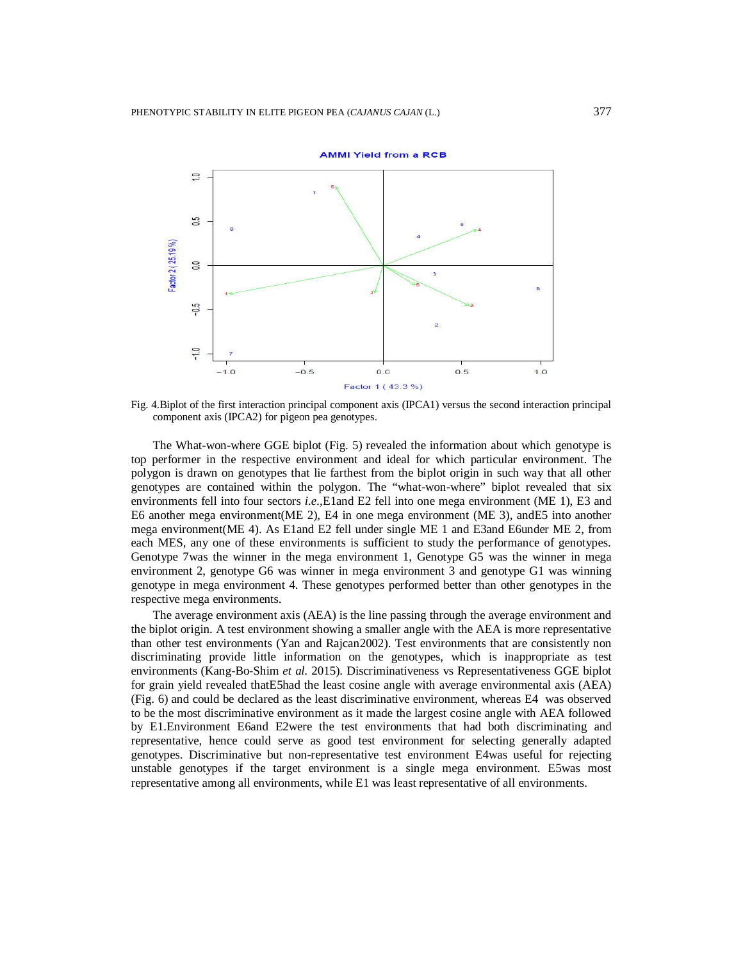

Fig. 4.Biplot of the first interaction principal component axis (IPCA1) versus the second interaction principal component axis (IPCA2) for pigeon pea genotypes.

The What-won-where GGE biplot (Fig. 5) revealed the information about which genotype is top performer in the respective environment and ideal for which particular environment. The polygon is drawn on genotypes that lie farthest from the biplot origin in such way that all other genotypes are contained within the polygon. The "what-won-where" biplot revealed that six environments fell into four sectors *i.e.,*E1and E2 fell into one mega environment (ME 1), E3 and E6 another mega environment(ME 2), E4 in one mega environment (ME 3), andE5 into another mega environment(ME 4). As E1and E2 fell under single ME 1 and E3and E6under ME 2, from each MES, any one of these environments is sufficient to study the performance of genotypes. Genotype 7was the winner in the mega environment 1, Genotype G5 was the winner in mega environment 2, genotype G6 was winner in mega environment 3 and genotype G1 was winning genotype in mega environment 4. These genotypes performed better than other genotypes in the respective mega environments.

The average environment axis (AEA) is the line passing through the average environment and the biplot origin. A test environment showing a smaller angle with the AEA is more representative than other test environments (Yan and Rajcan2002). Test environments that are consistently non discriminating provide little information on the genotypes, which is inappropriate as test environments (Kang-Bo-Shim *et al.* 2015). Discriminativeness vs Representativeness GGE biplot for grain yield revealed thatE5had the least cosine angle with average environmental axis (AEA) (Fig. 6) and could be declared as the least discriminative environment, whereas E4 was observed to be the most discriminative environment as it made the largest cosine angle with AEA followed by E1.Environment E6and E2were the test environments that had both discriminating and representative, hence could serve as good test environment for selecting generally adapted genotypes. Discriminative but non-representative test environment E4was useful for rejecting unstable genotypes if the target environment is a single mega environment. E5was most representative among all environments, while E1 was least representative of all environments.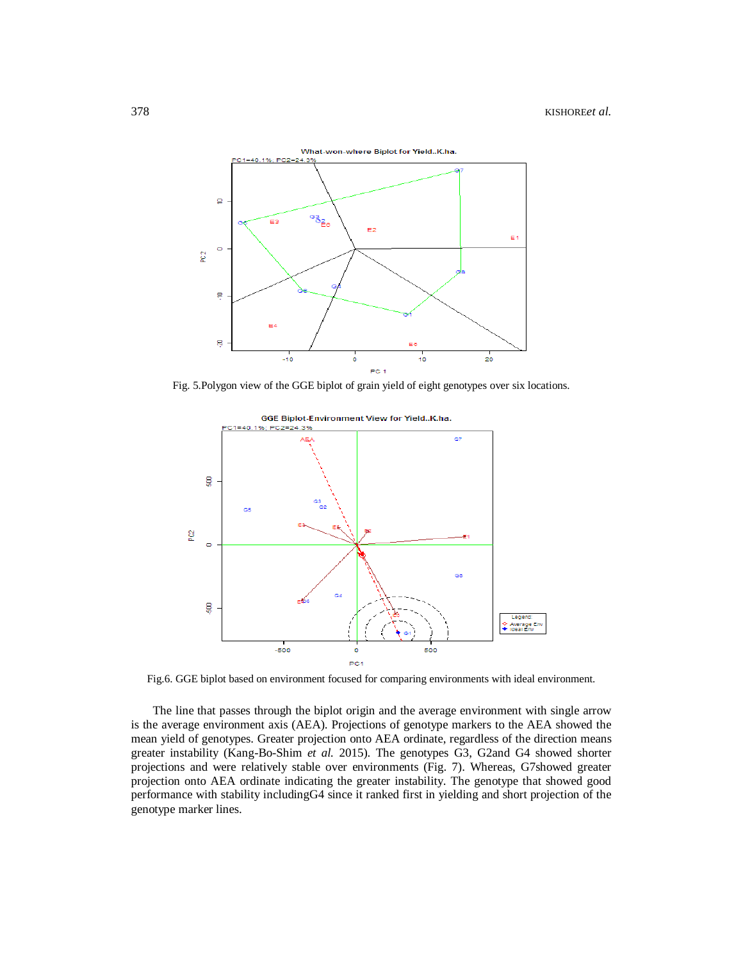

Fig. 5.Polygon view of the GGE biplot of grain yield of eight genotypes over six locations.



Fig.6. GGE biplot based on environment focused for comparing environments with ideal environment.

The line that passes through the biplot origin and the average environment with single arrow is the average environment axis (AEA). Projections of genotype markers to the AEA showed the mean yield of genotypes. Greater projection onto AEA ordinate, regardless of the direction means greater instability (Kang-Bo-Shim *et al.* 2015). The genotypes G3, G2and G4 showed shorter projections and were relatively stable over environments (Fig. 7). Whereas, G7showed greater projection onto AEA ordinate indicating the greater instability. The genotype that showed good performance with stability includingG4 since it ranked first in yielding and short projection of the genotype marker lines.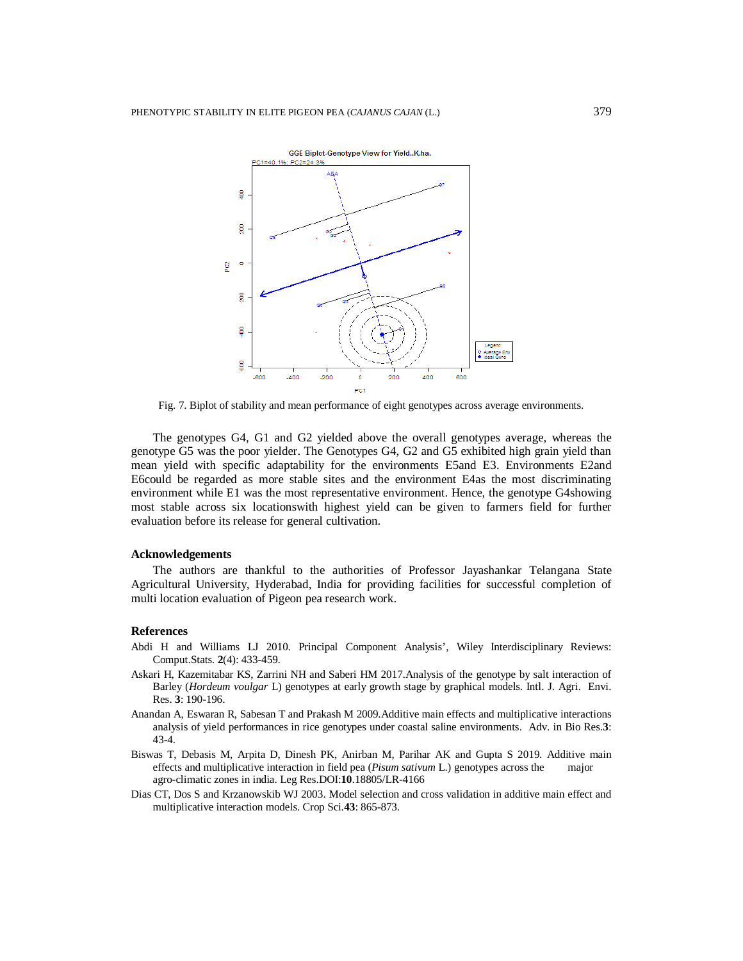

Fig. 7. Biplot of stability and mean performance of eight genotypes across average environments.

The genotypes G4, G1 and G2 yielded above the overall genotypes average, whereas the genotype G5 was the poor yielder. The Genotypes G4, G2 and G5 exhibited high grain yield than mean yield with specific adaptability for the environments E5and E3. Environments E2and E6could be regarded as more stable sites and the environment E4as the most discriminating environment while E1 was the most representative environment. Hence, the genotype G4showing most stable across six locationswith highest yield can be given to farmers field for further evaluation before its release for general cultivation.

## **Acknowledgements**

The authors are thankful to the authorities of Professor Jayashankar Telangana State Agricultural University, Hyderabad, India for providing facilities for successful completion of multi location evaluation of Pigeon pea research work.

## **References**

- Abdi H and Williams LJ 2010. Principal Component Analysis', Wiley Interdisciplinary Reviews: Comput.Stats. **2**(4): 433-459.
- Askari H, Kazemitabar KS, Zarrini NH and Saberi HM 2017.Analysis of the genotype by salt interaction of Barley (*Hordeum voulgar* L) genotypes at early growth stage by graphical models. Intl. J. Agri. Envi. Res. **3**: 190-196.
- Anandan A, Eswaran R, Sabesan T and Prakash M 2009.Additive main effects and multiplicative interactions analysis of yield performances in rice genotypes under coastal saline environments. Adv. in Bio Res.**3**: 43-4.
- Biswas T, Debasis M, Arpita D, Dinesh PK, Anirban M, Parihar AK and Gupta S 2019. Additive main effects and multiplicative interaction in field pea (*Pisum sativum* L.) genotypes across the major agro-climatic zones in india. Leg Res.DOI:**10**.18805/LR-4166
- Dias CT, Dos S and Krzanowskib WJ 2003. Model selection and cross validation in additive main effect and multiplicative interaction models. Crop Sci.**43**: 865-873.